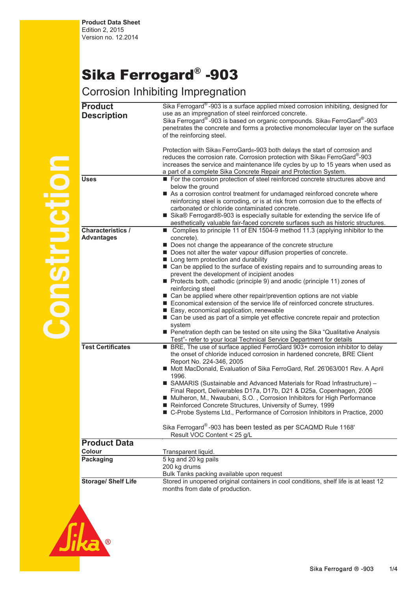## Sika Ferrogard® -903

## Corrosion Inhibiting Impregnation

| <b>Product</b>             | Sika Ferrogard <sup>®</sup> -903 is a surface applied mixed corrosion inhibiting, designed for                                                                     |
|----------------------------|--------------------------------------------------------------------------------------------------------------------------------------------------------------------|
|                            | use as an impregnation of steel reinforced concrete.                                                                                                               |
| <b>Description</b>         | Sika Ferrogard®-903 is based on organic compounds. Sika® FerroGard®-903                                                                                            |
|                            | penetrates the concrete and forms a protective monomolecular layer on the surface                                                                                  |
|                            | of the reinforcing steel.                                                                                                                                          |
|                            |                                                                                                                                                                    |
|                            | Protection with Sika® FerroGard®-903 both delays the start of corrosion and                                                                                        |
|                            | reduces the corrosion rate. Corrosion protection with Sika® FerroGard®-903                                                                                         |
|                            | increases the service and maintenance life cycles by up to 15 years when used as                                                                                   |
|                            | a part of a complete Sika Concrete Repair and Protection System.                                                                                                   |
| <b>Uses</b>                | For the corrosion protection of steel reinforced concrete structures above and                                                                                     |
|                            | below the ground                                                                                                                                                   |
|                            | As a corrosion control treatment for undamaged reinforced concrete where                                                                                           |
|                            | reinforcing steel is corroding, or is at risk from corrosion due to the effects of                                                                                 |
|                            | carbonated or chloride contaminated concrete.                                                                                                                      |
|                            | ■ Sika® Ferrogard®-903 is especially suitable for extending the service life of                                                                                    |
|                            |                                                                                                                                                                    |
| <b>Characteristics /</b>   | aesthetically valuable fair-faced concrete surfaces such as historic structures.<br>■ Complies to principle 11 of EN 1504-9 method 11.3 (applying inhibitor to the |
| <b>Advantages</b>          | concrete).                                                                                                                                                         |
|                            | Does not change the appearance of the concrete structure                                                                                                           |
|                            | Does not alter the water vapour diffusion properties of concrete.                                                                                                  |
|                            | Long term protection and durability                                                                                                                                |
|                            | ■ Can be applied to the surface of existing repairs and to surrounding areas to                                                                                    |
|                            | prevent the development of incipient anodes                                                                                                                        |
|                            | Protects both, cathodic (principle 9) and anodic (principle 11) zones of                                                                                           |
|                            | reinforcing steel                                                                                                                                                  |
|                            |                                                                                                                                                                    |
|                            | ■ Can be applied where other repair/prevention options are not viable<br>Economical extension of the service life of reinforced concrete structures.               |
|                            |                                                                                                                                                                    |
|                            | Easy, economical application, renewable                                                                                                                            |
|                            | ■ Can be used as part of a simple yet effective concrete repair and protection                                                                                     |
|                            | system<br>Penetration depth can be tested on site using the Sika "Qualitative Analysis                                                                             |
|                            |                                                                                                                                                                    |
| <b>Test Certificates</b>   | Test"- refer to your local Technical Service Department for details                                                                                                |
|                            | BRE, The use of surface applied FerroGard 903+ corrosion inhibitor to delay                                                                                        |
|                            | the onset of chloride induced corrosion in hardened concrete, BRE Client                                                                                           |
|                            | Report No. 224-346, 2005                                                                                                                                           |
|                            | Mott MacDonald, Evaluation of Sika FerroGard, Ref. 26'063/001 Rev. A April                                                                                         |
|                            | 1996.                                                                                                                                                              |
|                            | ■ SAMARIS (Sustainable and Advanced Materials for Road Infrastructure) -                                                                                           |
|                            | Final Report, Deliverables D17a, D17b, D21 & D25a, Copenhagen, 2006<br>Mulheron, M., Nwaubani, S.O., Corrosion Inhibitors for High Performance                     |
|                            | Reinforced Concrete Structures, University of Surrey, 1999                                                                                                         |
|                            | ■ C-Probe Systems Ltd., Performance of Corrosion Inhibitors in Practice, 2000                                                                                      |
|                            |                                                                                                                                                                    |
|                            | Sika Ferrogard®-903 has been tested as per SCAQMD Rule 1168'                                                                                                       |
|                            |                                                                                                                                                                    |
|                            | Result VOC Content < 25 g/L                                                                                                                                        |
| <b>Product Data</b>        |                                                                                                                                                                    |
| Colour                     | Transparent liquid.                                                                                                                                                |
| Packaging                  | 5 kg and 20 kg pails                                                                                                                                               |
|                            | 200 kg drums                                                                                                                                                       |
|                            | Bulk Tanks packing available upon request                                                                                                                          |
| <b>Storage/ Shelf Life</b> | Stored in unopened original containers in cool conditions, shelf life is at least 12                                                                               |
|                            | months from date of production.                                                                                                                                    |
|                            |                                                                                                                                                                    |
|                            |                                                                                                                                                                    |



**Construction** 

pullsud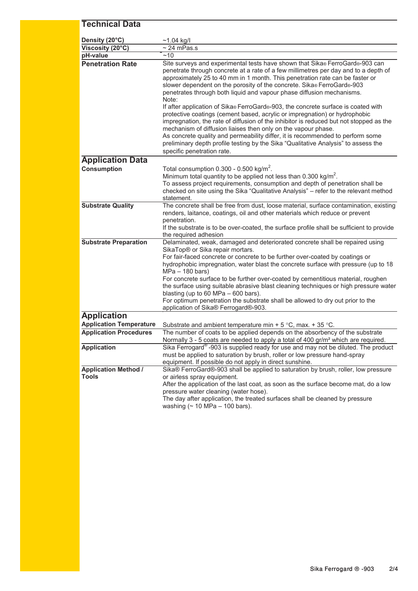## **Technical Data ity (20°C)** ~1.04 kg/I **Dens**  $Viscosity (20°C)$   $\sim$  24 mPas.s **pH-value** ̃~10 **Penetration Rate** Site surveys and experimental tests have shown that Sika® FerroGard®-903 can penetrate through concrete at a rate of a few millimetres per day and to a depth of approximately 25 to 40 mm in 1 month. This penetration rate can be faster or slower dependent on the porosity of the concrete. Sika® FerroGard®-903 penetrates through both liquid and vapour phase diffusion mechanisms. Note: If after application of Sika® FerroGard®-903, the concrete surface is coated with protective coatings (cement based, acrylic or impregnation) or hydrophobic impregnation, the rate of diffusion of the inhibitor is reduced but not stopped as the mechanism of diffusion liaises then only on the vapour phase. As concrete quality and permeability differ, it is recommended to perform some preliminary depth profile testing by the Sika "Qualitative Analysis" to assess the specific penetration rate. **Application Data Consumption** Total consumption 0.300 - 0.500 kg/m<sup>2</sup>. Minimum total quantity to be applied not less than  $0.300$  kg/m<sup>2</sup>. To assess project requirements, consumption and depth of penetration shall be checked on site using the Sika "Qualitative Analysis" – refer to the relevant method statement. The concrete shall be free from dust, loose material, surface contamination, existing renders, laitance, coatings, oil and other materials which reduce or prevent penetration. If the substrate is to be over-coated, the surface profile shall be sufficient to provide the required adhesion **Substrate Preparation** Delaminated, weak, damaged and deteriorated concrete shall be repaired using SikaTop® or Sika repair mortars. For fair-faced concrete or concrete to be further over-coated by coatings or hydrophobic impregnation, water blast the concrete surface with pressure (up to 18 MPa – 180 bars) For concrete surface to be further over-coated by cementitious material, roughen the surface using suitable abrasive blast cleaning techniques or high pressure water blasting (up to 60 MPa – 600 bars). For optimum penetration the substrate shall be allowed to dry out prior to the application of Sika® Ferrogard®-903. **Application Application Temperature** Substrate and ambient temperature min + 5 °C, max. + 35 °C. **Application Procedures** The number of coats to be applied depends on the absorbency of the substrate Normally 3 - 5 coats are needed to apply a total of 400 gr/m² which are required. **Application** Sika Ferrogard<sup>®</sup> -903 is supplied ready for use and may not be diluted. The product must be applied to saturation by brush, roller or low pressure hand-spray equipment. If possible do not apply in direct sunshine. **Application Method / Tools** Sika® FerroGard®-903 shall be applied to saturation by brush, roller, low pressure or airless spray equipment. After the application of the last coat, as soon as the surface become mat, do a low pressure water cleaning (water hose). The day after application, the treated surfaces shall be cleaned by pressure **Substrate Quality**

washing  $($  ~ 10 MPa – 100 bars).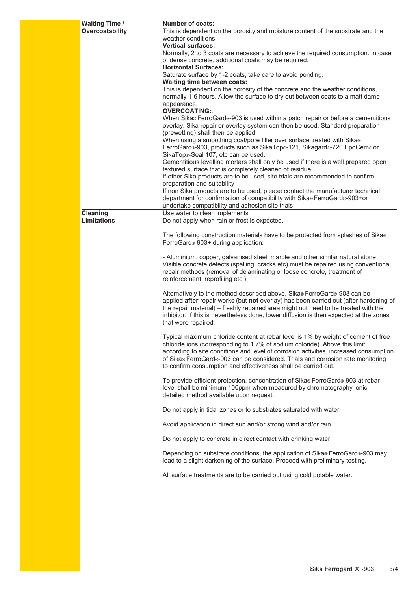| <b>Waiting Time /</b> | <b>Number of coats:</b>                                                                                                                                                      |
|-----------------------|------------------------------------------------------------------------------------------------------------------------------------------------------------------------------|
| Overcoatability       | This is dependent on the porosity and moisture content of the substrate and the<br>weather conditions.                                                                       |
|                       | <b>Vertical surfaces:</b>                                                                                                                                                    |
|                       | Normally, 2 to 3 coats are necessary to achieve the required consumption. In case                                                                                            |
|                       | of dense concrete, additional coats may be required.<br><b>Horizontal Surfaces:</b>                                                                                          |
|                       | Saturate surface by 1-2 coats, take care to avoid ponding.                                                                                                                   |
|                       | Waiting time between coats:<br>This is dependent on the porosity of the concrete and the weather conditions,                                                                 |
|                       | normally 1-6 hours. Allow the surface to dry out between coats to a matt damp                                                                                                |
|                       | appearance.<br><b>OVERCOATING:.</b>                                                                                                                                          |
|                       | When Sika® FerroGard®-903 is used within a patch repair or before a cementitious                                                                                             |
|                       | overlay, Sika repair or overlay system can then be used. Standard preparation<br>(prewetting) shall then be applied.                                                         |
|                       | When using a smoothing coat/pore filler over surface treated with Sika®                                                                                                      |
|                       | FerroGard®-903, products such as SikaTop®-121, Sikagard®-720 EpoCem® or                                                                                                      |
|                       | SikaTop®-Seal 107, etc can be used.<br>Cementitious levelling mortars shall only be used if there is a well prepared open                                                    |
|                       | textured surface that is completely cleaned of residue.                                                                                                                      |
|                       | If other Sika products are to be used, site trials are recommended to confirm                                                                                                |
|                       | preparation and suitability<br>If non Sika products are to be used, please contact the manufacturer technical                                                                |
|                       | department for confirmation of compatibility with Sika® FerroGard®-903+or                                                                                                    |
|                       | undertake compatibility and adhesion site trials.                                                                                                                            |
| Cleaning              | Use water to clean implements                                                                                                                                                |
| <b>Limitations</b>    | Do not apply when rain or frost is expected.                                                                                                                                 |
|                       | The following construction materials have to be protected from splashes of Sika®<br>FerroGard®-903+ during application:                                                      |
|                       | - Aluminium, copper, galvanised steel, marble and other similar natural stone                                                                                                |
|                       | Visible concrete defects (spalling, cracks etc) must be repaired using conventional                                                                                          |
|                       | repair methods (removal of delaminating or loose concrete, treatment of                                                                                                      |
|                       | reinforcement, reprofiling etc.)                                                                                                                                             |
|                       | Alternatively to the method described above, Sika® FerroGard®-903 can be                                                                                                     |
|                       | applied after repair works (but not overlay) has been carried out (after hardening of                                                                                        |
|                       | the repair material) – freshly repaired area might not need to be treated with the<br>inhibitor. If this is nevertheless done, lower diffusion is then expected at the zones |
|                       | that were repaired.                                                                                                                                                          |
|                       | Typical maximum chloride content at rebar level is 1% by weight of cement of free                                                                                            |
|                       | chloride ions (corresponding to 1.7% of sodium chloride). Above this limit,                                                                                                  |
|                       | according to site conditions and level of corrosion activities, increased consumption<br>of Sika® FerroGard®-903 can be considered. Trials and corrosion rate monitoring     |
|                       | to confirm consumption and effectiveness shall be carried out.                                                                                                               |
|                       | To provide efficient protection, concentration of Sika® FerroGard®-903 at rebar                                                                                              |
|                       | level shall be minimum 100ppm when measured by chromatography ionic -                                                                                                        |
|                       | detailed method available upon request.                                                                                                                                      |
|                       | Do not apply in tidal zones or to substrates saturated with water.                                                                                                           |
|                       | Avoid application in direct sun and/or strong wind and/or rain.                                                                                                              |
|                       | Do not apply to concrete in direct contact with drinking water.                                                                                                              |
|                       | Depending on substrate conditions, the application of Sika® FerroGard®-903 may<br>lead to a slight darkening of the surface. Proceed with preliminary testing.               |
|                       | All surface treatments are to be carried out using cold potable water.                                                                                                       |
|                       |                                                                                                                                                                              |
|                       |                                                                                                                                                                              |
|                       |                                                                                                                                                                              |
|                       |                                                                                                                                                                              |
|                       |                                                                                                                                                                              |
|                       |                                                                                                                                                                              |
|                       |                                                                                                                                                                              |